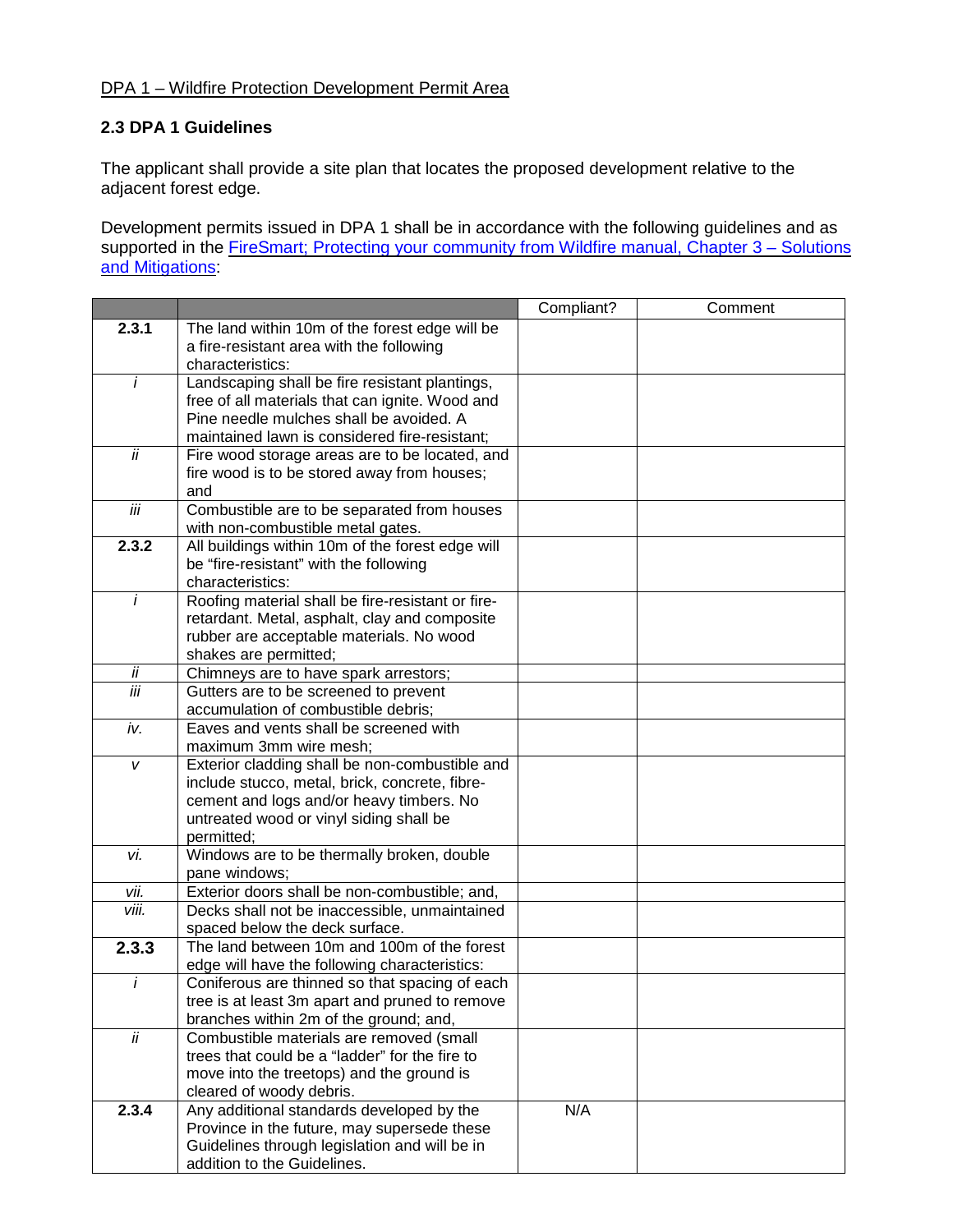## DPA 1 – Wildfire Protection Development Permit Area

## **2.3 DPA 1 Guidelines**

The applicant shall provide a site plan that locates the proposed development relative to the adjacent forest edge.

Development permits issued in DPA 1 shall be in accordance with the following guidelines and as supported in the FireSmart; Protecting your [community](https://www.firesmartcanada.ca/mdocs-posts/protecting-your-community-from-wildfire/) from Wildfire manual, Chapter 3 – Solutions and [Mitigations:](https://www.firesmartcanada.ca/mdocs-posts/protecting-your-community-from-wildfire/)

|                 |                                                                                                 | Compliant? | Comment |
|-----------------|-------------------------------------------------------------------------------------------------|------------|---------|
| 2.3.1           | The land within 10m of the forest edge will be                                                  |            |         |
|                 | a fire-resistant area with the following                                                        |            |         |
|                 | characteristics:                                                                                |            |         |
| $\overline{i}$  | Landscaping shall be fire resistant plantings,                                                  |            |         |
|                 | free of all materials that can ignite. Wood and                                                 |            |         |
|                 | Pine needle mulches shall be avoided. A                                                         |            |         |
|                 | maintained lawn is considered fire-resistant;                                                   |            |         |
| $\overline{ii}$ | Fire wood storage areas are to be located, and                                                  |            |         |
|                 | fire wood is to be stored away from houses;                                                     |            |         |
|                 | and                                                                                             |            |         |
| iii             | Combustible are to be separated from houses                                                     |            |         |
|                 | with non-combustible metal gates.                                                               |            |         |
| 2.3.2           | All buildings within 10m of the forest edge will                                                |            |         |
|                 | be "fire-resistant" with the following                                                          |            |         |
|                 | characteristics:                                                                                |            |         |
| İ               | Roofing material shall be fire-resistant or fire-                                               |            |         |
|                 | retardant. Metal, asphalt, clay and composite<br>rubber are acceptable materials. No wood       |            |         |
|                 | shakes are permitted;                                                                           |            |         |
| İİ              | Chimneys are to have spark arrestors;                                                           |            |         |
| iii             | Gutters are to be screened to prevent                                                           |            |         |
|                 | accumulation of combustible debris;                                                             |            |         |
| iv.             | Eaves and vents shall be screened with                                                          |            |         |
|                 | maximum 3mm wire mesh;                                                                          |            |         |
| V               | Exterior cladding shall be non-combustible and                                                  |            |         |
|                 | include stucco, metal, brick, concrete, fibre-                                                  |            |         |
|                 | cement and logs and/or heavy timbers. No                                                        |            |         |
|                 | untreated wood or vinyl siding shall be                                                         |            |         |
|                 | permitted;                                                                                      |            |         |
| vi.             | Windows are to be thermally broken, double                                                      |            |         |
|                 | pane windows;                                                                                   |            |         |
| vii.            | Exterior doors shall be non-combustible; and,                                                   |            |         |
| viii.           | Decks shall not be inaccessible, unmaintained                                                   |            |         |
|                 | spaced below the deck surface.                                                                  |            |         |
| 2.3.3           | The land between 10m and 100m of the forest                                                     |            |         |
| $\ddot{I}$      | edge will have the following characteristics:<br>Coniferous are thinned so that spacing of each |            |         |
|                 | tree is at least 3m apart and pruned to remove                                                  |            |         |
|                 | branches within 2m of the ground; and,                                                          |            |         |
| $\overline{ii}$ | Combustible materials are removed (small                                                        |            |         |
|                 | trees that could be a "ladder" for the fire to                                                  |            |         |
|                 | move into the treetops) and the ground is                                                       |            |         |
|                 | cleared of woody debris.                                                                        |            |         |
| 2.3.4           | Any additional standards developed by the                                                       | N/A        |         |
|                 | Province in the future, may supersede these                                                     |            |         |
|                 | Guidelines through legislation and will be in                                                   |            |         |
|                 | addition to the Guidelines.                                                                     |            |         |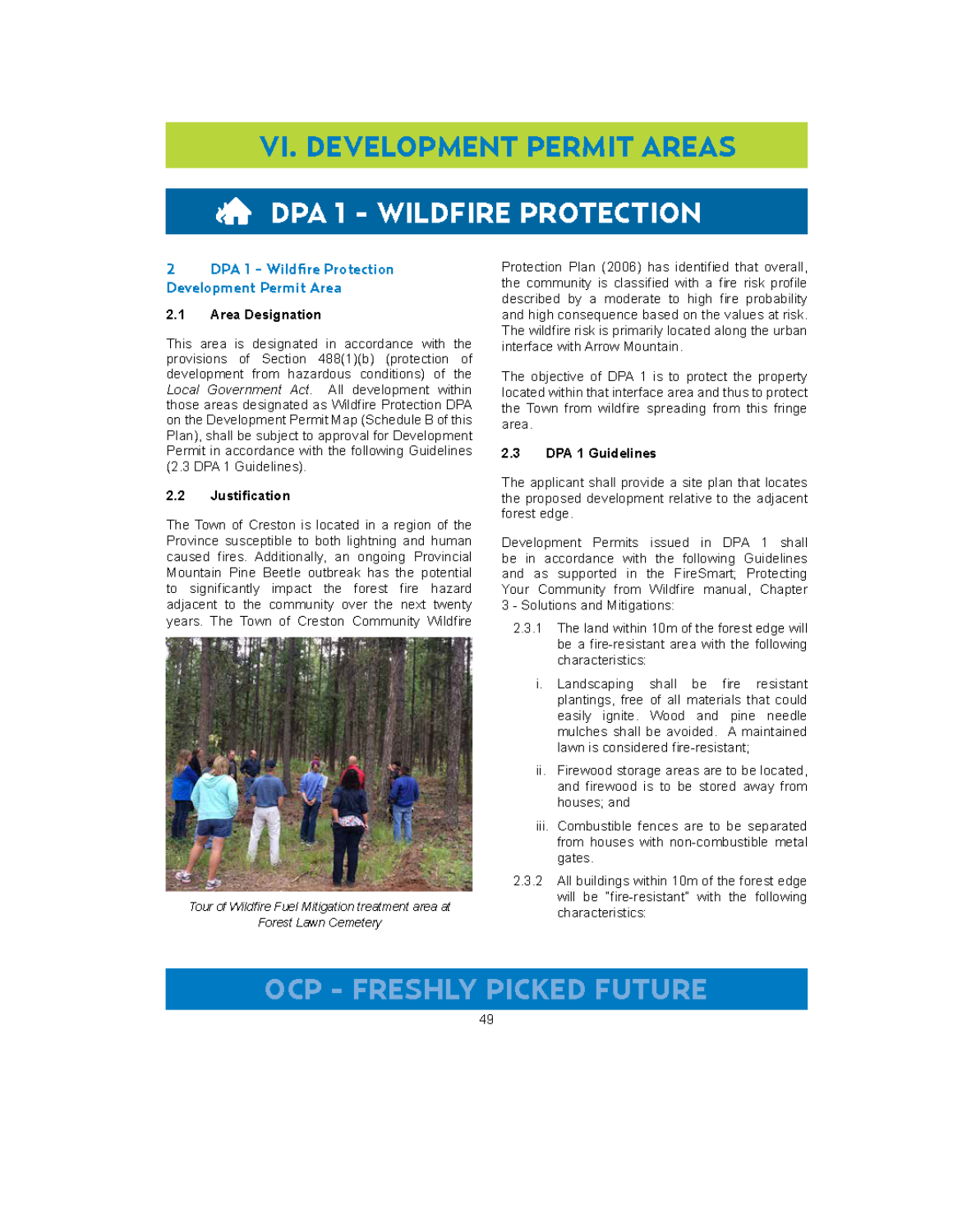# **VI. DEVELOPMENT PERMIT AREAS**

# **DPA 1 - WILDFIRE PROTECTION**

#### **DPA 1 - Wildfire Protection** э. **Development Permit Area**

#### $2.1$ Area Designation

This area is designated in accordance with the provisions of Section 488(1)(b) (protection of development from hazardous conditions) of the Local Government Act. All development within those areas designated as Wildfire Protection DPA on the Development Permit Map (Schedule B of this Plan), shall be subject to approval for Development Permit in accordance with the following Guidelines (2.3 DPA 1 Guidelines).

#### $2.2$ Justification

The Town of Creston is located in a region of the Province susceptible to both lightning and human caused fires. Additionally, an ongoing Provincial Mountain Pine Beetle outbreak has the potential to significantly impact the forest fire hazard adjacent to the community over the next twenty years. The Town of Creston Community Wildfire



Tour of Wildfire Fuel Mitigation treatment area at Forest Lawn Cemetery

Protection Plan (2006) has identified that overall, the community is classified with a fire risk profile described by a moderate to high fire probability and high consequence based on the values at risk. The wildfire risk is primarily located along the urbaninterface with Arrow Mountain.

The objective of DPA 1 is to protect the property located within that interface area and thus to protect the Town from wildfire spreading from this fringe area.

#### $2.3$ **DPA 1 Guidelines**

The applicant shall provide a site plan that locates the proposed development relative to the adjacent forest edge.

Development Permits issued in DPA 1 shall be in accordance with the following Guidelines and as supported in the FireSmart; Protecting Your Community from Wildfire manual, Chapter 3 - Solutions and Mitigations:

- 2.3.1 The land within 10m of the forest edge will be a fire-resistant area with the following characteristics:
	- i. Landscaping shall be fire resistant plantings, free of all materials that could easily ignite. Wood and pine needle mulches shall be avoided. A maintained lawn is considered fire-resistant:
	- ii. Firewood storage areas are to be located, and firewood is to be stored away from houses; and
	- iii. Combustible fences are to be separated from houses with non-combustible metal gates.
- $2.3.2 -$ All buildings within 10m of the forest edge will be "fire-resistant" with the following characteristics:

## **OCP - FRESHLY PICKED FUTURE**